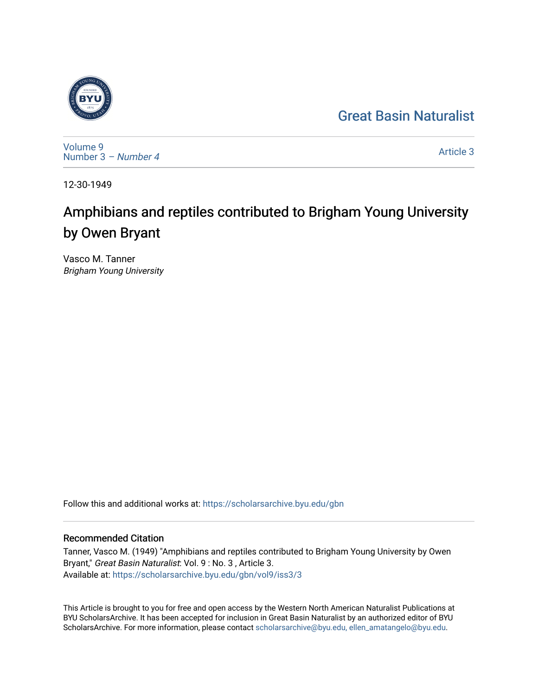## [Great Basin Naturalist](https://scholarsarchive.byu.edu/gbn)



[Volume 9](https://scholarsarchive.byu.edu/gbn/vol9) [Number 3](https://scholarsarchive.byu.edu/gbn/vol9/iss3) – Number 4

[Article 3](https://scholarsarchive.byu.edu/gbn/vol9/iss3/3) 

12-30-1949

# Amphibians and reptiles contributed to Brigham Young University by Owen Bryant

Vasco M. Tanner Brigham Young University

Follow this and additional works at: [https://scholarsarchive.byu.edu/gbn](https://scholarsarchive.byu.edu/gbn?utm_source=scholarsarchive.byu.edu%2Fgbn%2Fvol9%2Fiss3%2F3&utm_medium=PDF&utm_campaign=PDFCoverPages) 

## Recommended Citation

Tanner, Vasco M. (1949) "Amphibians and reptiles contributed to Brigham Young University by Owen Bryant," Great Basin Naturalist: Vol. 9 : No. 3 , Article 3. Available at: [https://scholarsarchive.byu.edu/gbn/vol9/iss3/3](https://scholarsarchive.byu.edu/gbn/vol9/iss3/3?utm_source=scholarsarchive.byu.edu%2Fgbn%2Fvol9%2Fiss3%2F3&utm_medium=PDF&utm_campaign=PDFCoverPages) 

This Article is brought to you for free and open access by the Western North American Naturalist Publications at BYU ScholarsArchive. It has been accepted for inclusion in Great Basin Naturalist by an authorized editor of BYU ScholarsArchive. For more information, please contact [scholarsarchive@byu.edu, ellen\\_amatangelo@byu.edu.](mailto:scholarsarchive@byu.edu,%20ellen_amatangelo@byu.edu)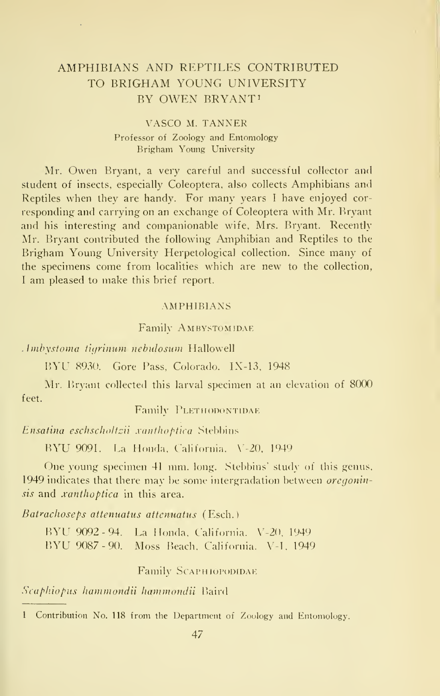## AMPHIBIANS AND REPTILES CONTRIBUTED TO BRIGHAM YOUNG UNIVERSITY BY OWEN BRYANT<sup>1</sup>

#### VASCO M. TANNER Professor of Zoology and Entomology Brigham Young University

Mr. Owen Bryant, <sup>a</sup> very careful and successful collector and student of insects, especially Coleoptera, also collects Amphibians and Reptiles when they are handy. For many years <sup>I</sup> have enjoyed cor responding and carrying on an exchange of Coleoptera with Mr. Bryant and his interesting and companionable wife, Mrs. Bryant. Recently Mr. Bryant contributed the following Atnphibian and Reptiles to the Brigham Young University Herpetological collection. Since many of the specimens come from localities which are new to the collection, <sup>I</sup> am pleased to make this brief report.

#### AMPHIBIANS

#### Family Ambystomidae

. Imbystoma tigrinum nebulosum Hallowell

P.YU 89.^0. Gore Pass, Colorado. IX-13, 1948

Mr. Bryant collected this larval specimen at an elevation of 8000 feet.

Family PLETHODONTIDAE

Ensatina eschscholtzii xanthoptica Stebbins

BYU 9091. La Honda, California. V-20. 1949

One young specimen 41 nmi. long. Stebbins' study of this genus, 1949 indicates that there may be some intergradation between *oregonin*sis and *xanthoptica* in this area.

Batrachoseps attenuatus attenuatus (Esch.)

BYU 9092-94. La Honda, California. V-20, 1949 BYU 9087-90. Moss Beach, California. V-1, <sup>1949</sup>

Family SCAPHIOPODIDAE

Scaphiopus hammondii hammondii Baird

<sup>1</sup> Contribution No. 118 from the Department of Zoology and Entomology.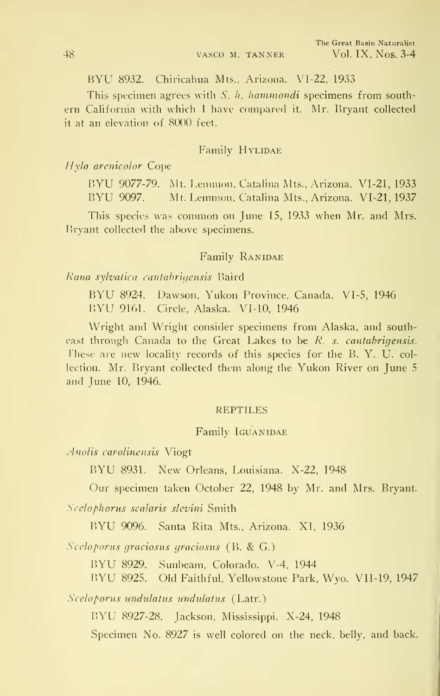BYU 8932. Chiricahua Mts.. Arizona. VI-22, <sup>1933</sup>

This specimen agrees with S.  $h$ , hammondi specimens from southern California with which I have compared it. Mr. Bryant collected it at an elevation of 8000 feet.

#### Family HYLIDAE

Hyla arenicolor Cope

BYU 9077-79. Mt. Lemmon, Catalina Mts., Arizona. VI-21, <sup>1933</sup> BYU 9097. Mt. Lemmon. Catalina Mts., Arizona. VI-21, <sup>1937</sup>

This species was common on June 15, 1933 when Mr. and Mrs. Bryant collected the ahove specimens.

#### Family RANIDAE

#### Rana sylvatica cantabrigensis Baird

BYU 8924. Dawson, Yukon Province, Canada. VI-5, <sup>1946</sup> BYU 9161. Circle, Alaska. VI-10, <sup>1946</sup>

Wright and Wright consider specimens from Alaska, and southeast through Canada to the Great Lakes to be  $R$ . s. cantabrigensis. These are new locality records of this species for the B. Y. U. collection. Mr. Bryant collected them along the Yukon River on June <sup>5</sup> and June 10, 1946.

#### REPTILES

#### Family IGUANIDAE

Anolis carolinensis Viogt

BYU 8931. New Orleans, Louisiana. X-22, <sup>1948</sup>

Our specimen taken October 22, 1948 by Mr. and Mrs. Bryant.

Scelophorus scalaris slevini Smith

BYU 9096. Santa Rita Mts., Arizona. XI, <sup>1936</sup>

Sccloporus graciosus graciosus (B. & G.)

BYU 8929. Sunbeam, Colorado. V-4, <sup>1944</sup>

BYU 8925. Old Faithful, Yellowstone Park, Wyo. VII-19, <sup>1947</sup>

Sceloporus undulatus undulatus (Latr.)

BYU 8927-28. Jackson. Mississippi. X-24, <sup>1948</sup>

Specimen No. 8927 is well colored on the neck, belly, and back.